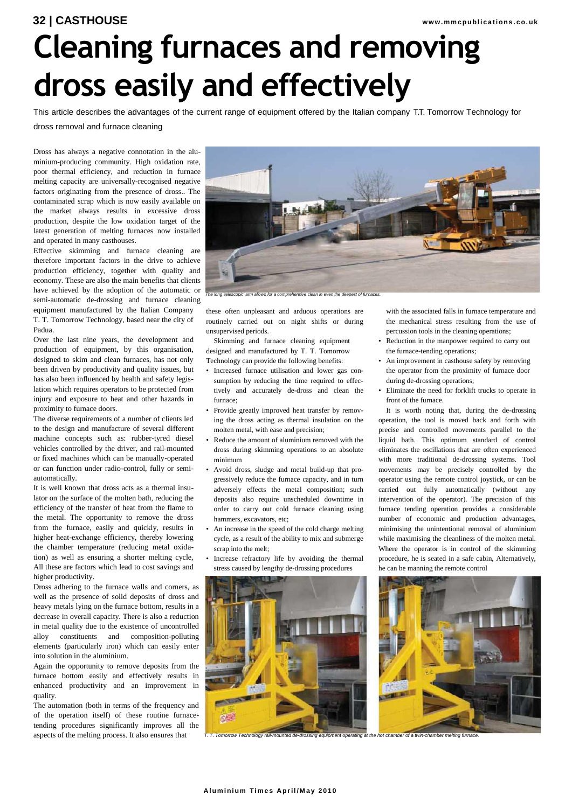## **32 | CASTHOUSE www.mmcpublications.co.uk Cleaning furnaces and removing dross easily and effectively**

This article describes the advantages of the current range of equipment offered by the Italian company T.T. Tomorrow Technology for dross removal and furnace cleaning

Dross has always a negative connotation in the aluminium-producing community. High oxidation rate, poor thermal efficiency, and reduction in furnace melting capacity are universally-recognised negative factors originating from the presence of dross.. The contaminated scrap which is now easily available on the market always results in excessive dross production, despite the low oxidation target of the latest generation of melting furnaces now installed and operated in many casthouses.

Effective skimming and furnace cleaning are therefore important factors in the drive to achieve production efficiency, together with quality and economy. These are also the main benefits that clients have achieved by the adoption of the automatic or semi-automatic de-drossing and furnace cleaning equipment manufactured by the Italian Company

T. T. Tomorrow Technology, based near the city of Padua.

Over the last nine years, the development and production of equipment, by this organisation, designed to skim and clean furnaces, has not only been driven by productivity and quality issues, but has also been influenced by health and safety legislation which requires operators to be protected from injury and exposure to heat and other hazards in proximity to furnace doors.

The diverse requirements of a number of clients led to the design and manufacture of several different machine concepts such as: rubber-tyred diesel vehicles controlled by the driver, and rail-mounted or fixed machines which can be manually-operated or can function under radio-control, fully or semiautomatically.

It is well known that dross acts as a thermal insulator on the surface of the molten bath, reducing the efficiency of the transfer of heat from the flame to the metal. The opportunity to remove the dross from the furnace, easily and quickly, results in higher heat-exchange efficiency, thereby lowering the chamber temperature (reducing metal oxidation) as well as ensuring a shorter melting cycle, All these are factors which lead to cost savings and higher productivity.

Dross adhering to the furnace walls and corners, as well as the presence of solid deposits of dross and heavy metals lying on the furnace bottom, results in a decrease in overall capacity. There is also a reduction in metal quality due to the existence of uncontrolled alloy constituents and composition-polluting elements (particularly iron) which can easily enter into solution in the aluminium.

Again the opportunity to remove deposits from the furnace bottom easily and effectively results in enhanced productivity and an improvement in quality.

The automation (both in terms of the frequency and of the operation itself) of these routine furnacetending procedures significantly improves all the aspects of the melting process. It also ensures that



*The long 'telescopic' arm allows for a comprehensive clean in even the deepest of furnaces.*

these often unpleasant and arduous operations are routinely carried out on night shifts or during unsupervised periods.

Skimming and furnace cleaning equipment designed and manufactured by T. T. Tomorrow Technology can provide the following benefits:

- Increased furnace utilisation and lower gas consumption by reducing the time required to effectively and accurately de-dross and clean the furnace;
- Provide greatly improved heat transfer by removing the dross acting as thermal insulation on the molten metal, with ease and precision;
- Reduce the amount of aluminium removed with the dross during skimming operations to an absolute minimum
- Avoid dross, sludge and metal build-up that progressively reduce the furnace capacity, and in turn adversely effects the metal composition; such deposits also require unscheduled downtime in order to carry out cold furnace cleaning using hammers, excavators, etc;
- An increase in the speed of the cold charge melting cycle, as a result of the ability to mix and submerge scrap into the melt;
- Increase refractory life by avoiding the thermal stress caused by lengthy de-drossing procedures



*T. T. Tomorrow Technology rail-mounted de-drossing equipment operating at the hot chamber of a twin-chamber melting furnace.*

with the associated falls in furnace temperature and the mechanical stress resulting from the use of percussion tools in the cleaning operations;

- Reduction in the manpower required to carry out the furnace-tending operations;
- An improvement in casthouse safety by removing the operator from the proximity of furnace door during de-drossing operations:
- Eliminate the need for forklift trucks to operate in front of the furnace.

It is worth noting that, during the de-drossing operation, the tool is moved back and forth with precise and controlled movements parallel to the liquid bath. This optimum standard of control eliminates the oscillations that are often experienced with more traditional de-drossing systems. Tool movements may be precisely controlled by the operator using the remote control joystick, or can be carried out fully automatically (without any intervention of the operator). The precision of this furnace tending operation provides a considerable number of economic and production advantages, minimising the unintentional removal of aluminium while maximising the cleanliness of the molten metal. Where the operator is in control of the skimming procedure, he is seated in a safe cabin, Alternatively, he can be manning the remote control